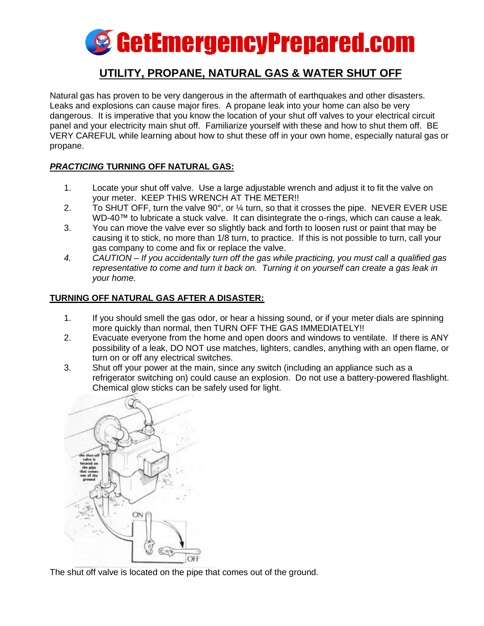

# **UTILITY, PROPANE, NATURAL GAS & WATER SHUT OFF**

Natural gas has proven to be very dangerous in the aftermath of earthquakes and other disasters. Leaks and explosions can cause major fires. A propane leak into your home can also be very dangerous. It is imperative that you know the location of your shut off valves to your electrical circuit panel and your electricity main shut off. Familiarize yourself with these and how to shut them off. BE VERY CAREFUL while learning about how to shut these off in your own home, especially natural gas or propane.

#### *PRACTICING* **TURNING OFF NATURAL GAS:**

- 1. Locate your shut off valve. Use a large adjustable wrench and adjust it to fit the valve on your meter. KEEP THIS WRENCH AT THE METER!!
- 2. To SHUT OFF, turn the valve 90°, or ¼ turn, so that it crosses the pipe. NEVER EVER USE WD-40™ to lubricate a stuck valve. It can disintegrate the o-rings, which can cause a leak.
- 3. You can move the valve ever so slightly back and forth to loosen rust or paint that may be causing it to stick, no more than 1/8 turn, to practice. If this is not possible to turn, call your gas company to come and fix or replace the valve.
- *4. CAUTION – If you accidentally turn off the gas while practicing, you must call a qualified gas representative to come and turn it back on. Turning it on yourself can create a gas leak in your home.*

#### **TURNING OFF NATURAL GAS AFTER A DISASTER:**

- 1. If you should smell the gas odor, or hear a hissing sound, or if your meter dials are spinning more quickly than normal, then TURN OFF THE GAS IMMEDIATELY!!
- 2. Evacuate everyone from the home and open doors and windows to ventilate. If there is ANY possibility of a leak, DO NOT use matches, lighters, candles, anything with an open flame, or turn on or off any electrical switches.
- 3. Shut off your power at the main, since any switch (including an appliance such as a refrigerator switching on) could cause an explosion. Do not use a battery-powered flashlight. Chemical glow sticks can be safely used for light.



The shut off valve is located on the pipe that comes out of the ground.